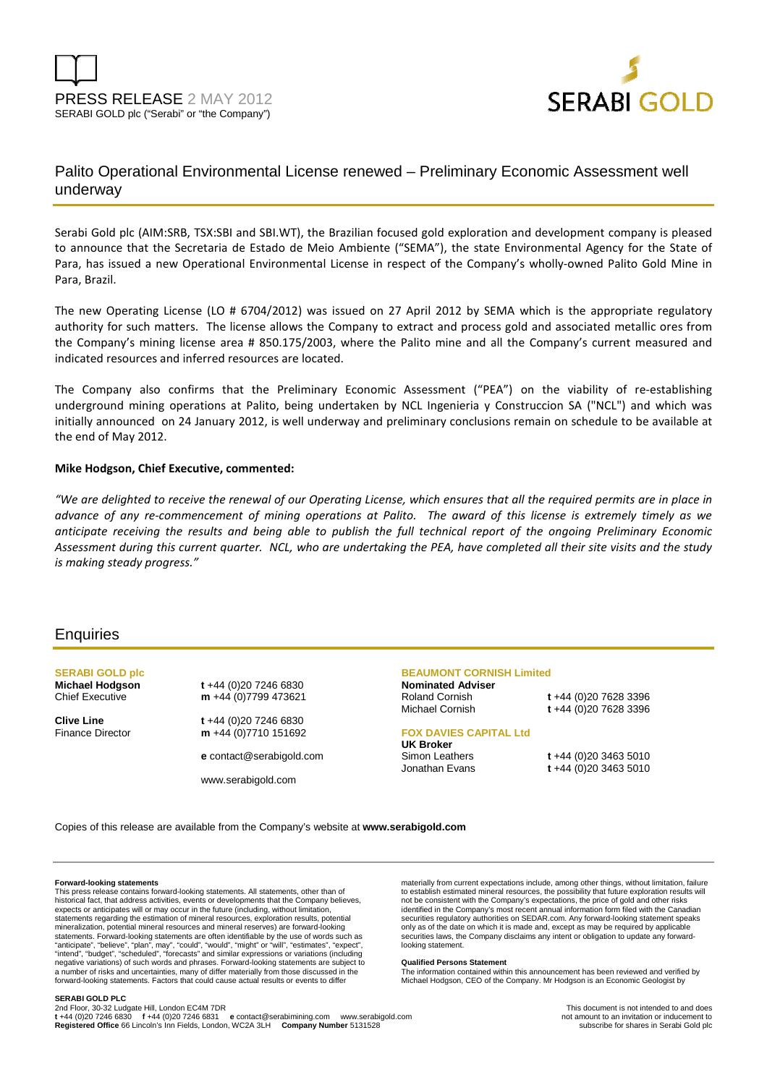



# Palito Operational Environmental License renewed – Preliminary Economic Assessment well underway

Serabi Gold plc (AIM:SRB, TSX:SBI and SBI.WT), the Brazilian focused gold exploration and development company is pleased to announce that the Secretaria de Estado de Meio Ambiente ("SEMA"), the state Environmental Agency for the State of Para, has issued a new Operational Environmental License in respect of the Company's wholly-owned Palito Gold Mine in Para, Brazil.

The new Operating License (LO # 6704/2012) was issued on 27 April 2012 by SEMA which is the appropriate regulatory authority for such matters. The license allows the Company to extract and process gold and associated metallic ores from the Company's mining license area # 850.175/2003, where the Palito mine and all the Company's current measured and indicated resources and inferred resources are located.

The Company also confirms that the Preliminary Economic Assessment ("PEA") on the viability of re-establishing underground mining operations at Palito, being undertaken by NCL Ingenieria y Construccion SA ("NCL") and which was initially announced on 24 January 2012, is well underway and preliminary conclusions remain on schedule to be available at the end of May 2012.

## **Mike Hodgson, Chief Executive, commented:**

*"We are delighted to receive the renewal of our Operating License, which ensures that all the required permits are in place in advance of any re-commencement of mining operations at Palito. The award of this license is extremely timely as we anticipate receiving the results and being able to publish the full technical report of the ongoing Preliminary Economic Assessment during this current quarter. NCL, who are undertaking the PEA, have completed all their site visits and the study is making steady progress."*

## **Enquiries**

**SERABI GOLD plc** 

**Michael Hodgson t** +44 (0)20 7246 6830<br>Chief Executive **m** +44 (0)7799 47362 m +44 (0)7799 473621

**Clive Line t** +44 (0)20 7246 6830 Finance Director **m** +44 (0)7710 151692

**e** contact@serabigold.com

www.serabigold.com

## **BEAUMONT CORNISH Limited**

**Nominated Adviser** 

Roland Cornish **t** +44 (0)20 7628 3396 Michael Cornish **t** +44 (0)20 7628 3396

### **FOX DAVIES CAPITAL Ltd**

**UK Broker** 

Simon Leathers **t** +44 (0)20 3463 5010 Jonathan Evans **t** +44 (0)20 3463 5010

Copies of this release are available from the Company's website at **www.serabigold.com**

#### **Forward-looking statements**

This press release contains forward-looking statements. All statements, other than of historical fact, that address activities, events or developments that the Company believes, expects or anticipates will or may occur in the future (including, without limitation, statements regarding the estimation of mineral resources, exploration results, potential mineralization, potential mineral resources and mineral reserves) are forward-looking statements. Forward-looking statements are often identifiable by the use of words such as<br>"anticipate", "believe", "plan", may", "could", "would", "might" or "will", "estimates", "expect",<br>"intend", "budget", "scheduled", negative variations) of such words and phrases. Forward-looking statements are subject to a number of risks and uncertainties, many of differ materially from those discussed in the forward-looking statements. Factors that could cause actual results or events to differ

materially from current expectations include, among other things, without limitation, failure to establish estimated mineral resources, the possibility that future exploration results will not be consistent with the Company's expectations, the price of gold and other risks identified in the Company's most recent annual information form filed with the Canadian securities regulatory authorities on SEDAR.com. Any forward-looking statement speaks only as of the date on which it is made and, except as may be required by applicable securities laws, the Company disclaims any intent or obligation to update any forwardlooking statement.

#### **Qualified Persons Statement**

The information contained within this announcement has been reviewed and verified by Michael Hodgson, CEO of the Company. Mr Hodgson is an Economic Geologist by

#### **SERABI GOLD PLC**

2nd Floor, 30-32 Ludgate Hill, London EC4M 7DR<br>t +44 (0)20 7246 6830 f +44 (0)20 7246 6831 e contact@serabimining.com www.serabigold.com not amount to an invitation or inducement to **Registered Office** 66 Lincoln's Inn Fields, London, WC2A 3LH **Company Number** 5131528